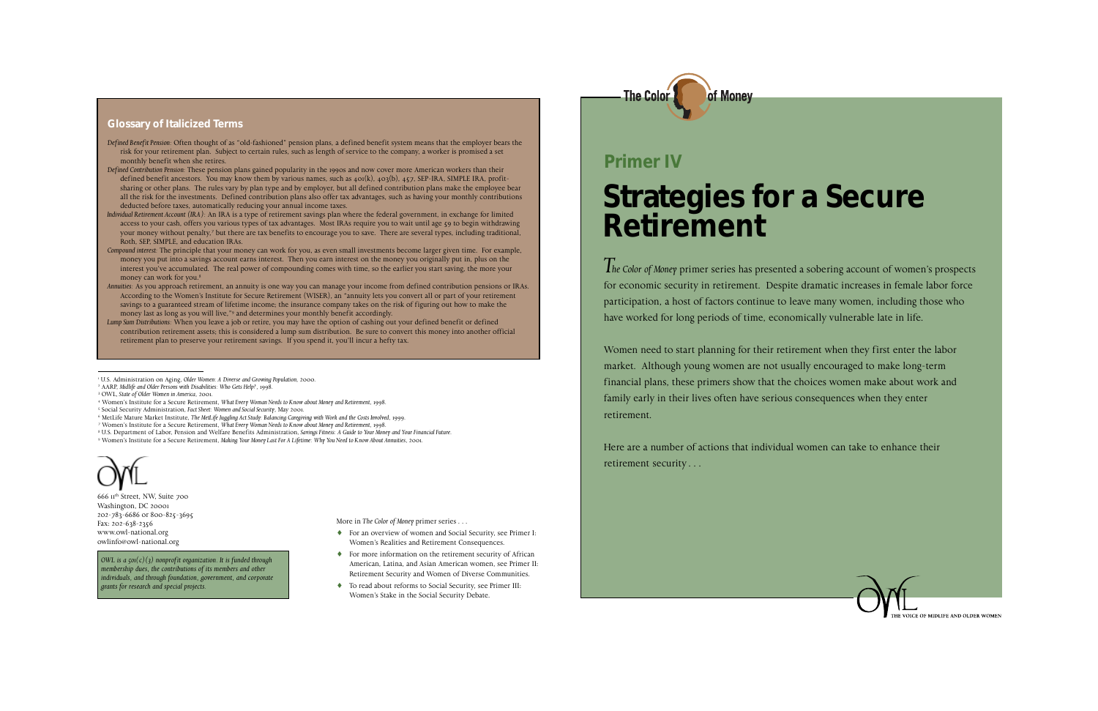## **Strategies for a Secure Retirement**

of Monev

*The Color of Money* primer series has presented a sobering account of women's prospects for economic security in retirement. Despite dramatic increases in female labor force participation, a host of factors continue to leave many women, including those who have worked for long periods of time, economically vulnerable late in life.

Women need to start planning for their retirement when they first enter the labor market. Although young women are not usually encouraged to make long-term financial plans, these primers show that the choices women make about work and family early in their lives often have serious consequences when they enter retirement.

Here are a number of actions that individual women can take to enhance their retirement security . . .



# **Primer IV**

666 11th Street, NW, Suite 700 Washington, DC 20001 202-783-6686 or 800-825-3695 Fax: 202-638-2356 www.owl-national.org owlinfo@owl-national.org

*OWL is a 501(c)(3) nonprofit organization. It is funded through membership dues, the contributions of its members and other individuals, and through foundation, government, and corporate grants for research and special projects.*

More in *The Color of Money* primer series . . .

- ♦ For an overview of women and Social Security, see Primer I: Women's Realities and Retirement Consequences.
- ♦ For more information on the retirement security of African American, Latina, and Asian American women, see Primer II: Retirement Security and Women of Diverse Communities.
- ♦ To read about reforms to Social Security, see Primer III: Women's Stake in the Social Security Debate.

## **Glossary of Italicized Terms**

- *Defined Benefit Pension:* Often thought of as "old-fashioned" pension plans, a defined benefit system means that the employer bears the risk for your retirement plan. Subject to certain rules, such as length of service to the company, a worker is promised a set monthly benefit when she retires.
- *Defined Contribution Pension:* These pension plans gained popularity in the 1990s and now cover more American workers than their defined benefit ancestors. You may know them by various names, such as  $401(k)$ ,  $403(b)$ ,  $457$ , SEP-IRA, SIMPLE IRA, profitsharing or other plans. The rules vary by plan type and by employer, but all defined contribution plans make the employee bear all the risk for the investments. Defined contribution plans also offer tax advantages, such as having your monthly contributions deducted before taxes, automatically reducing your annual income taxes.
- *Individual Retirement Account (IRA):* An IRA is a type of retirement savings plan where the federal government, in exchange for limited access to your cash, offers you various types of tax advantages. Most IRAs require you to wait until age 59 to begin withdrawing your money without penalty,7 but there are tax benefits to encourage you to save. There are several types, including traditional, Roth, SEP, SIMPLE, and education IRAs.
- *Compound interest:* The principle that your money can work for you, as even small investments become larger given time. For example, money you put into a savings account earns interest. Then you earn interest on the money you originally put in, plus on the interest you've accumulated. The real power of compounding comes with time, so the earlier you start saving, the more your money can work for you.8
- *Annuities:* As you approach retirement, an annuity is one way you can manage your income from defined contribution pensions or IRAs. According to the Women's Institute for Secure Retirement (WISER), an "annuity lets you convert all or part of your retirement savings to a guaranteed stream of lifetime income; the insurance company takes on the risk of figuring out how to make the money last as long as you will live,"<sup>9</sup> and determines your monthly benefit accordingly.
- *Lump Sum Distributions:* When you leave a job or retire, you may have the option of cashing out your defined benefit or defined contribution retirement assets; this is considered a lump sum distribution. Be sure to convert this money into another official retirement plan to preserve your retirement savings. If you spend it, you'll incur a hefty tax.

2 AARP, *Midlife and Older Persons with Disabilities: Who Gets Help?*, 1998.

4 Women's Institute for a Secure Retirement, *What Every Woman Needs to Know about Money and Retirement*, 1998.

- 7 Women's Institute for a Secure Retirement, *What Every Woman Needs to Know about Money and Retirement*, 1998.
- 8 U.S. Department of Labor, Pension and Welfare Benefits Administration, *Savings Fitness: A Guide to Your Money and Your Financial Future*.
- 9 Women's Institute for a Secure Retirement, *Making Your Money Last For A Lifetime: Why You Need to Know About Annuities*, 2001.

<sup>1</sup> U.S. Administration on Aging, *Older Women: A Diverse and Growing Population*, 2000.

<sup>3</sup> OWL, *State of Older Women in America*, 2001.

<sup>5</sup> Social Security Administration, *Fact Sheet: Women and Social Security*, May 2001.

<sup>6</sup> MetLife Mature Market Institute, *The MetLife Juggling Act Study: Balancing Caregiving with Work and the Costs Involved*, 1999.